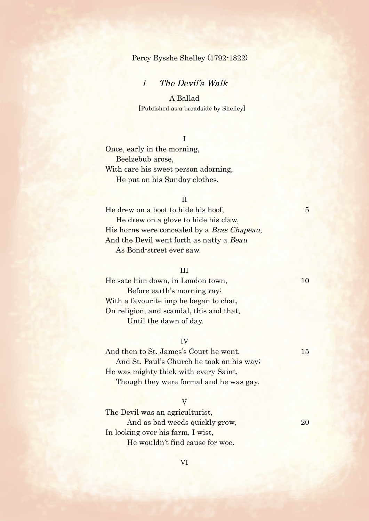## Percy Bysshe Shelley (1792-1822)

# 1 The Devil's Walk

# A Ballad

[Published as a broadside by Shelley]

## I

Once, early in the morning, Beelzebub arose, With care his sweet person adorning, He put on his Sunday clothes.

# II

He drew on a boot to hide his hoof, 5 He drew on a glove to hide his claw, His horns were concealed by a Bras Chapeau, And the Devil went forth as natty a Beau As Bond-street ever saw.

### III

He sate him down, in London town, 10 Before earth's morning ray; With a favourite imp he began to chat, On religion, and scandal, this and that, Until the dawn of day.

### IV

And then to St. James's Court he went, 15 And St. Paul's Church he took on his way; He was mighty thick with every Saint, Though they were formal and he was gay.

### V

The Devil was an agriculturist, And as bad weeds quickly grow, 20 In looking over his farm, I wist, He wouldn't find cause for woe.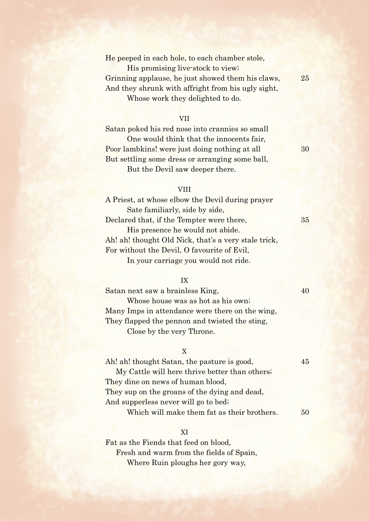### He peeped in each hole, to each chamber stole,

His promising live-stock to view; Grinning applause, he just showed them his claws, 25 And they shrunk with affright from his ugly sight, Whose work they delighted to do.

### VII

Satan poked his red nose into crannies so small One would think that the innocents fair, Poor lambkins! were just doing nothing at all 30 But settling some dress or arranging some ball, But the Devil saw deeper there.

### **VIII**

A Priest, at whose elbow the Devil during prayer Sate familiarly, side by side, Declared that, if the Tempter were there, 35 His presence he would not abide. Ah! ah! thought Old Nick, that's a very stale trick, For without the Devil, O favourite of Evil, In your carriage you would not ride.

### IX

Satan next saw a brainless King, 40 Whose house was as hot as his own; Many Imps in attendance were there on the wing, They flapped the pennon and twisted the sting, Close by the very Throne.

### X

Ah! ah! thought Satan, the pasture is good, 45 My Cattle will here thrive better than others; They dine on news of human blood, They sup on the groans of the dying and dead, And supperless never will go to bed; Which will make them fat as their brothers.  $50$ 

### XI

Fat as the Fiends that feed on blood, Fresh and warm from the fields of Spain, Where Ruin ploughs her gory way,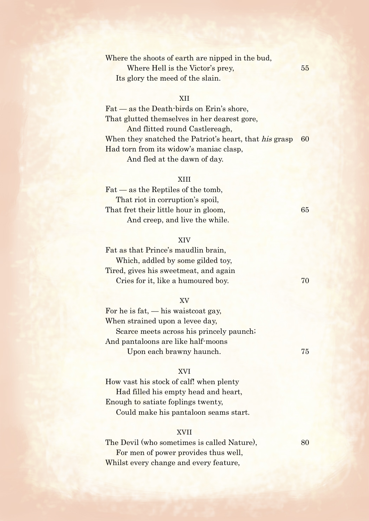# Where the shoots of earth are nipped in the bud, Where Hell is the Victor's prey, 55 Its glory the meed of the slain.

## XII

Fat — as the Death-birds on Erin's shore, That glutted themselves in her dearest gore, And flitted round Castlereagh, When they snatched the Patriot's heart, that his grasp 60 Had torn from its widow's maniac clasp, And fled at the dawn of day.

### XIII

Fat — as the Reptiles of the tomb, That riot in corruption's spoil, That fret their little hour in gloom, 65 And creep, and live the while.

## XIV

Fat as that Prince's maudlin brain, Which, addled by some gilded toy, Tired, gives his sweetmeat, and again Cries for it, like a humoured boy. 70

### XV

For he is fat,  $-$  his waistcoat gay, When strained upon a levee day, Scarce meets across his princely paunch; And pantaloons are like half-moons Upon each brawny haunch. 75

### XVI

How vast his stock of calf! when plenty Had filled his empty head and heart, Enough to satiate foplings twenty, Could make his pantaloon seams start.

### XVII

The Devil (who sometimes is called Nature), 80 For men of power provides thus well, Whilst every change and every feature,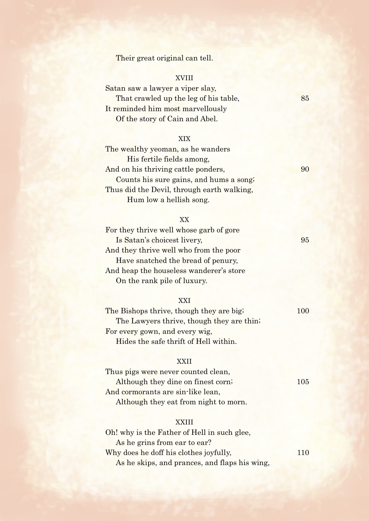Their great original can tell.

# XVIII

Satan saw a lawyer a viper slay, That crawled up the leg of his table, 85 It reminded him most marvellously Of the story of Cain and Abel.

## XIX

| The wealthy yeoman, as he wanders          |    |
|--------------------------------------------|----|
| His fertile fields among,                  |    |
| And on his thriving cattle ponders,        | 90 |
| Counts his sure gains, and hums a song;    |    |
| Thus did the Devil, through earth walking, |    |
| Hum low a hellish song.                    |    |

## XX

| For they thrive well whose garb of gore |    |
|-----------------------------------------|----|
| Is Satan's choicest livery,             | 95 |
| And they thrive well who from the poor  |    |
| Have snatched the bread of penury,      |    |
| And heap the houseless wanderer's store |    |
| On the rank pile of luxury.             |    |
|                                         |    |

### XXI

| The Bishops thrive, though they are big;  | 100 |
|-------------------------------------------|-----|
| The Lawyers thrive, though they are thin. |     |
| For every gown, and every wig,            |     |
| Hides the safe thrift of Hell within.     |     |

### XXII

Thus pigs were never counted clean, Although they dine on finest corn; 105 And cormorants are sin-like lean, Although they eat from night to morn.

# XXIII

| Oh! why is the Father of Hell in such glee,   |     |
|-----------------------------------------------|-----|
| As he grins from ear to ear?                  |     |
| Why does he doff his clothes joyfully,        | 110 |
| As he skips, and prances, and flaps his wing, |     |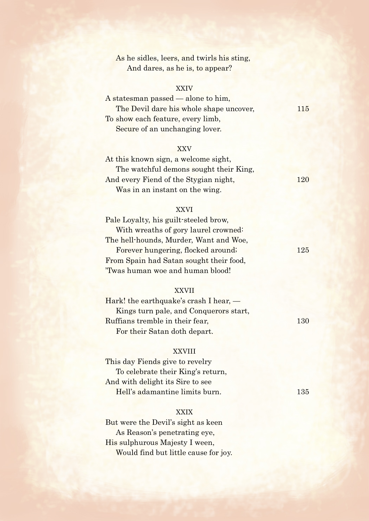# As he sidles, leers, and twirls his sting, And dares, as he is, to appear?

# XXIV

| A states man passed $-$ alone to him,   |      |
|-----------------------------------------|------|
| The Devil dare his whole shape uncover, | 11.5 |
| To show each feature, every limb,       |      |
| Secure of an unchanging lover.          |      |

### XXV

| At this known sign, a welcome sight,   |     |
|----------------------------------------|-----|
| The watchful demons sought their King, |     |
| And every Fiend of the Stygian night,  | 120 |
| Was in an instant on the wing.         |     |

## XXVI

| 125 |
|-----|
|     |
|     |
|     |

## XXVII

| Hark! the earthquake's crash I hear, $-$ |     |
|------------------------------------------|-----|
| Kings turn pale, and Conquerors start,   |     |
| Ruffians tremble in their fear,          | 130 |
| For their Satan doth depart.             |     |

## XXVIII

This day Fiends give to revelry To celebrate their King's return, And with delight its Sire to see Hell's adamantine limits burn. 135

### **XXIX**

But were the Devil's sight as keen As Reason's penetrating eye, His sulphurous Majesty I ween, Would find but little cause for joy.